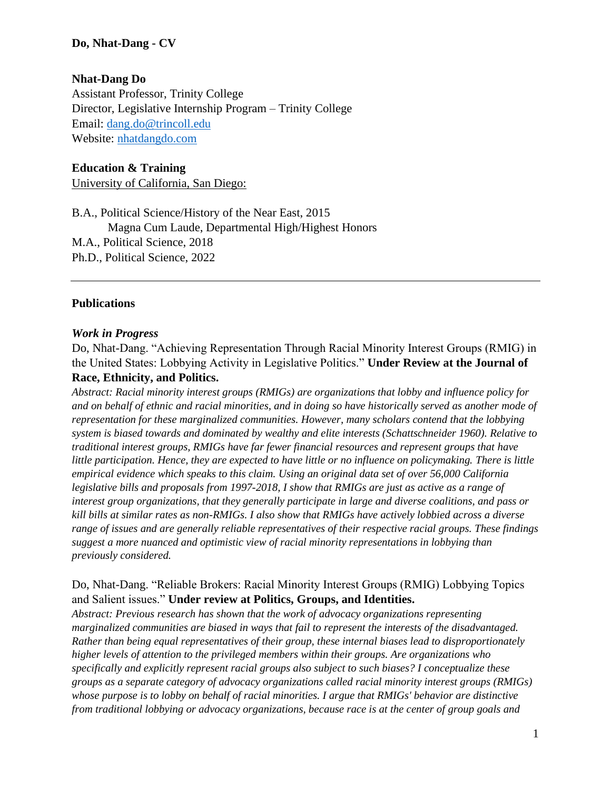#### **Do, Nhat-Dang - CV**

#### **Nhat-Dang Do**

Assistant Professor, Trinity College Director, Legislative Internship Program – Trinity College Email: [dang.do@trincoll.edu](mailto:dang.do@trincoll.edu) Website: [nhatdangdo.com](https://nhatdangdo.com/)

#### **Education & Training**

University of California, San Diego:

B.A., Political Science/History of the Near East, 2015 Magna Cum Laude, Departmental High/Highest Honors M.A., Political Science, 2018 Ph.D., Political Science, 2022

#### **Publications**

#### *Work in Progress*

Do, Nhat-Dang. "Achieving Representation Through Racial Minority Interest Groups (RMIG) in the United States: Lobbying Activity in Legislative Politics." **Under Review at the Journal of** 

#### **Race, Ethnicity, and Politics.**

*Abstract: Racial minority interest groups (RMIGs) are organizations that lobby and influence policy for and on behalf of ethnic and racial minorities, and in doing so have historically served as another mode of representation for these marginalized communities. However, many scholars contend that the lobbying system is biased towards and dominated by wealthy and elite interests (Schattschneider 1960). Relative to traditional interest groups, RMIGs have far fewer financial resources and represent groups that have little participation. Hence, they are expected to have little or no influence on policymaking. There is little empirical evidence which speaks to this claim. Using an original data set of over 56,000 California legislative bills and proposals from 1997-2018, I show that RMIGs are just as active as a range of interest group organizations, that they generally participate in large and diverse coalitions, and pass or kill bills at similar rates as non-RMIGs. I also show that RMIGs have actively lobbied across a diverse range of issues and are generally reliable representatives of their respective racial groups. These findings suggest a more nuanced and optimistic view of racial minority representations in lobbying than previously considered.*

## Do, Nhat-Dang. "Reliable Brokers: Racial Minority Interest Groups (RMIG) Lobbying Topics and Salient issues." **Under review at Politics, Groups, and Identities.**

*Abstract: Previous research has shown that the work of advocacy organizations representing marginalized communities are biased in ways that fail to represent the interests of the disadvantaged. Rather than being equal representatives of their group, these internal biases lead to disproportionately higher levels of attention to the privileged members within their groups. Are organizations who specifically and explicitly represent racial groups also subject to such biases? I conceptualize these groups as a separate category of advocacy organizations called racial minority interest groups (RMIGs) whose purpose is to lobby on behalf of racial minorities. I argue that RMIGs' behavior are distinctive from traditional lobbying or advocacy organizations, because race is at the center of group goals and*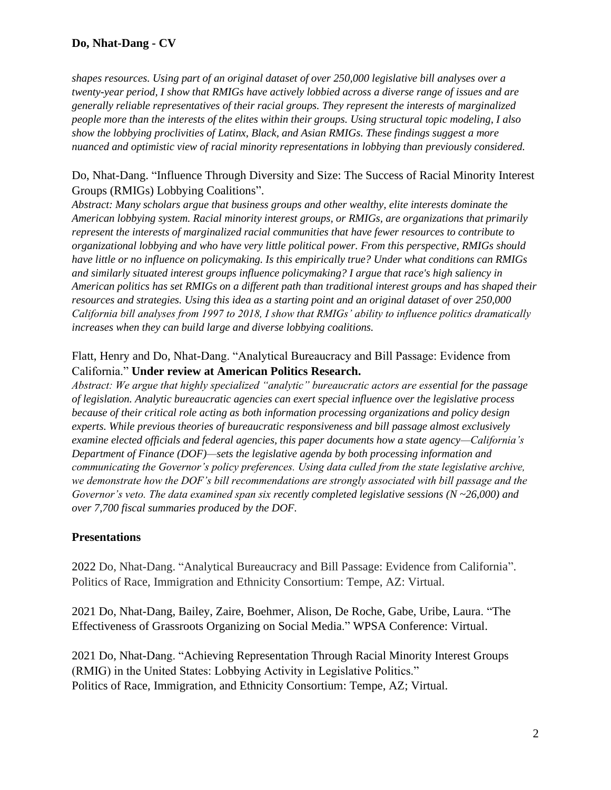# **Do, Nhat-Dang - CV**

*shapes resources. Using part of an original dataset of over 250,000 legislative bill analyses over a twenty-year period, I show that RMIGs have actively lobbied across a diverse range of issues and are generally reliable representatives of their racial groups. They represent the interests of marginalized people more than the interests of the elites within their groups. Using structural topic modeling, I also show the lobbying proclivities of Latinx, Black, and Asian RMIGs. These findings suggest a more nuanced and optimistic view of racial minority representations in lobbying than previously considered.*

#### Do, Nhat-Dang. "Influence Through Diversity and Size: The Success of Racial Minority Interest Groups (RMIGs) Lobbying Coalitions".

*Abstract: Many scholars argue that business groups and other wealthy, elite interests dominate the American lobbying system. Racial minority interest groups, or RMIGs, are organizations that primarily represent the interests of marginalized racial communities that have fewer resources to contribute to organizational lobbying and who have very little political power. From this perspective, RMIGs should have little or no influence on policymaking. Is this empirically true? Under what conditions can RMIGs and similarly situated interest groups influence policymaking? I argue that race's high saliency in American politics has set RMIGs on a different path than traditional interest groups and has shaped their resources and strategies. Using this idea as a starting point and an original dataset of over 250,000 California bill analyses from 1997 to 2018, I show that RMIGs' ability to influence politics dramatically increases when they can build large and diverse lobbying coalitions.*

## Flatt, Henry and Do, Nhat-Dang. "Analytical Bureaucracy and Bill Passage: Evidence from California." **Under review at American Politics Research.**

*Abstract: We argue that highly specialized "analytic" bureaucratic actors are essential for the passage of legislation. Analytic bureaucratic agencies can exert special influence over the legislative process because of their critical role acting as both information processing organizations and policy design experts. While previous theories of bureaucratic responsiveness and bill passage almost exclusively examine elected officials and federal agencies, this paper documents how a state agency—California's Department of Finance (DOF)—sets the legislative agenda by both processing information and communicating the Governor's policy preferences. Using data culled from the state legislative archive, we demonstrate how the DOF's bill recommendations are strongly associated with bill passage and the Governor's veto. The data examined span six recently completed legislative sessions (N ~26,000) and over 7,700 fiscal summaries produced by the DOF.*

#### **Presentations**

2022 Do, Nhat-Dang. "Analytical Bureaucracy and Bill Passage: Evidence from California". Politics of Race, Immigration and Ethnicity Consortium: Tempe, AZ: Virtual.

2021 Do, Nhat-Dang, Bailey, Zaire, Boehmer, Alison, De Roche, Gabe, Uribe, Laura. "The Effectiveness of Grassroots Organizing on Social Media." WPSA Conference: Virtual.

2021 Do, Nhat-Dang. "Achieving Representation Through Racial Minority Interest Groups (RMIG) in the United States: Lobbying Activity in Legislative Politics." Politics of Race, Immigration, and Ethnicity Consortium: Tempe, AZ; Virtual.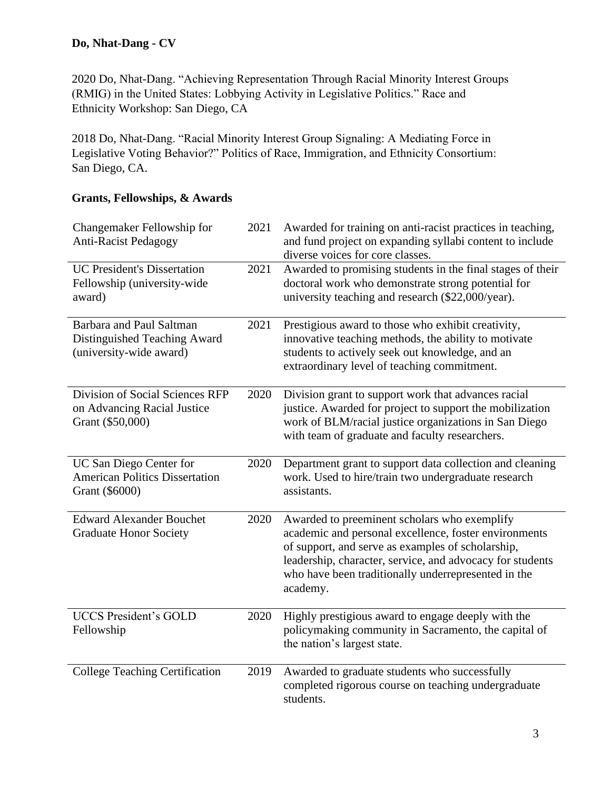2020 Do, Nhat-Dang. "Achieving Representation Through Racial Minority Interest Groups (RMIG) in the United States: Lobbying Activity in Legislative Politics." Race and Ethnicity Workshop: San Diego, CA

2018 Do, Nhat-Dang. "Racial Minority Interest Group Signaling: A Mediating Force in Legislative Voting Behavior?" Politics of Race, Immigration, and Ethnicity Consortium: San Diego, CA.

## **Grants, Fellowships, & Awards**

| Changemaker Fellowship for<br><b>Anti-Racist Pedagogy</b>                                  | 2021 | Awarded for training on anti-racist practices in teaching,<br>and fund project on expanding syllabi content to include<br>diverse voices for core classes.                                                                                                                                 |
|--------------------------------------------------------------------------------------------|------|--------------------------------------------------------------------------------------------------------------------------------------------------------------------------------------------------------------------------------------------------------------------------------------------|
| <b>UC President's Dissertation</b><br>Fellowship (university-wide<br>award)                | 2021 | Awarded to promising students in the final stages of their<br>doctoral work who demonstrate strong potential for<br>university teaching and research (\$22,000/year).                                                                                                                      |
| <b>Barbara and Paul Saltman</b><br>Distinguished Teaching Award<br>(university-wide award) | 2021 | Prestigious award to those who exhibit creativity,<br>innovative teaching methods, the ability to motivate<br>students to actively seek out knowledge, and an<br>extraordinary level of teaching commitment.                                                                               |
| Division of Social Sciences RFP<br>on Advancing Racial Justice<br>Grant (\$50,000)         | 2020 | Division grant to support work that advances racial<br>justice. Awarded for project to support the mobilization<br>work of BLM/racial justice organizations in San Diego<br>with team of graduate and faculty researchers.                                                                 |
| UC San Diego Center for<br><b>American Politics Dissertation</b><br>Grant (\$6000)         | 2020 | Department grant to support data collection and cleaning<br>work. Used to hire/train two undergraduate research<br>assistants.                                                                                                                                                             |
| <b>Edward Alexander Bouchet</b><br><b>Graduate Honor Society</b>                           | 2020 | Awarded to preeminent scholars who exemplify<br>academic and personal excellence, foster environments<br>of support, and serve as examples of scholarship,<br>leadership, character, service, and advocacy for students<br>who have been traditionally underrepresented in the<br>academy. |
| <b>UCCS President's GOLD</b><br>Fellowship                                                 | 2020 | Highly prestigious award to engage deeply with the<br>policymaking community in Sacramento, the capital of<br>the nation's largest state.                                                                                                                                                  |
| <b>College Teaching Certification</b>                                                      | 2019 | Awarded to graduate students who successfully<br>completed rigorous course on teaching undergraduate<br>students.                                                                                                                                                                          |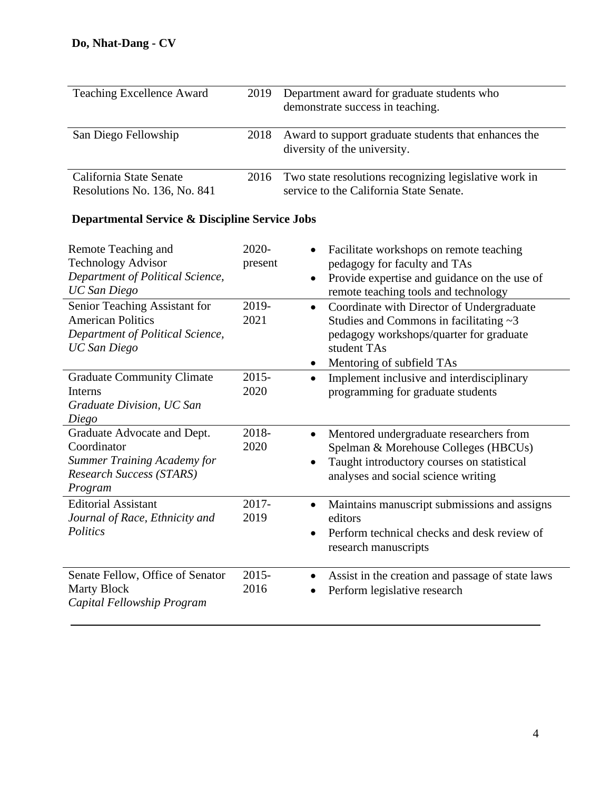| <b>Teaching Excellence Award</b>                        | 2019 | Department award for graduate students who<br>demonstrate success in teaching.                   |
|---------------------------------------------------------|------|--------------------------------------------------------------------------------------------------|
| San Diego Fellowship                                    | 2018 | Award to support graduate students that enhances the<br>diversity of the university.             |
| California State Senate<br>Resolutions No. 136, No. 841 | 2016 | Two state resolutions recognizing legislative work in<br>service to the California State Senate. |

# **Departmental Service & Discipline Service Jobs**

| Remote Teaching and<br><b>Technology Advisor</b><br>Department of Political Science,<br><b>UC</b> San Diego<br>Senior Teaching Assistant for | 2020-<br>present<br>2019-<br>$\bullet$ | Facilitate workshops on remote teaching<br>pedagogy for faculty and TAs<br>Provide expertise and guidance on the use of<br>remote teaching tools and technology<br>Coordinate with Director of Undergraduate |
|----------------------------------------------------------------------------------------------------------------------------------------------|----------------------------------------|--------------------------------------------------------------------------------------------------------------------------------------------------------------------------------------------------------------|
| <b>American Politics</b>                                                                                                                     | 2021                                   | Studies and Commons in facilitating $\sim$ 3                                                                                                                                                                 |
| Department of Political Science,<br><b>UC</b> San Diego                                                                                      |                                        | pedagogy workshops/quarter for graduate<br>student TAs                                                                                                                                                       |
|                                                                                                                                              | ٠                                      | Mentoring of subfield TAs                                                                                                                                                                                    |
| <b>Graduate Community Climate</b><br>Interns<br>Graduate Division, UC San<br>Diego                                                           | $2015 -$<br>2020                       | Implement inclusive and interdisciplinary<br>programming for graduate students                                                                                                                               |
| Graduate Advocate and Dept.<br>Coordinator<br><b>Summer Training Academy for</b><br>Research Success (STARS)<br>Program                      | 2018-<br>$\bullet$<br>2020             | Mentored undergraduate researchers from<br>Spelman & Morehouse Colleges (HBCUs)<br>Taught introductory courses on statistical<br>analyses and social science writing                                         |
| <b>Editorial Assistant</b><br>Journal of Race, Ethnicity and<br>Politics                                                                     | $2017 -$<br>2019                       | Maintains manuscript submissions and assigns<br>editors<br>Perform technical checks and desk review of<br>research manuscripts                                                                               |
| Senate Fellow, Office of Senator<br><b>Marty Block</b><br>Capital Fellowship Program                                                         | $2015 -$<br>2016                       | Assist in the creation and passage of state laws<br>Perform legislative research                                                                                                                             |